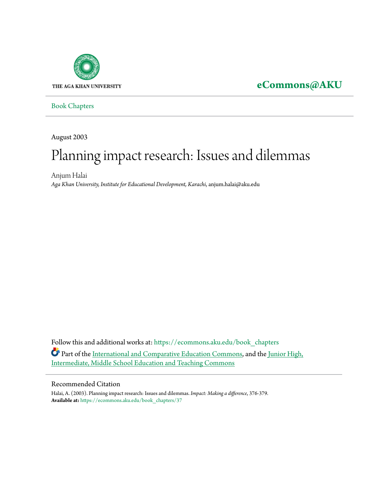

**[eCommons@AKU](https://ecommons.aku.edu?utm_source=ecommons.aku.edu%2Fbook_chapters%2F37&utm_medium=PDF&utm_campaign=PDFCoverPages)**

[Book Chapters](https://ecommons.aku.edu/book_chapters?utm_source=ecommons.aku.edu%2Fbook_chapters%2F37&utm_medium=PDF&utm_campaign=PDFCoverPages)

August 2003

# Planning impact research: Issues and dilemmas

Anjum Halai *Aga Khan University, Institute for Educational Development, Karachi*, anjum.halai@aku.edu

Follow this and additional works at: [https://ecommons.aku.edu/book\\_chapters](https://ecommons.aku.edu/book_chapters?utm_source=ecommons.aku.edu%2Fbook_chapters%2F37&utm_medium=PDF&utm_campaign=PDFCoverPages) Part of the [International and Comparative Education Commons,](http://network.bepress.com/hgg/discipline/797?utm_source=ecommons.aku.edu%2Fbook_chapters%2F37&utm_medium=PDF&utm_campaign=PDFCoverPages) and the [Junior High,](http://network.bepress.com/hgg/discipline/807?utm_source=ecommons.aku.edu%2Fbook_chapters%2F37&utm_medium=PDF&utm_campaign=PDFCoverPages) [Intermediate, Middle School Education and Teaching Commons](http://network.bepress.com/hgg/discipline/807?utm_source=ecommons.aku.edu%2Fbook_chapters%2F37&utm_medium=PDF&utm_campaign=PDFCoverPages)

#### Recommended Citation

Halai, A. (2003). Planning impact research: Issues and dilemmas. *Impact: Making a difference*, 376-379. **Available at:** [https://ecommons.aku.edu/book\\_chapters/37](https://ecommons.aku.edu/book_chapters/37)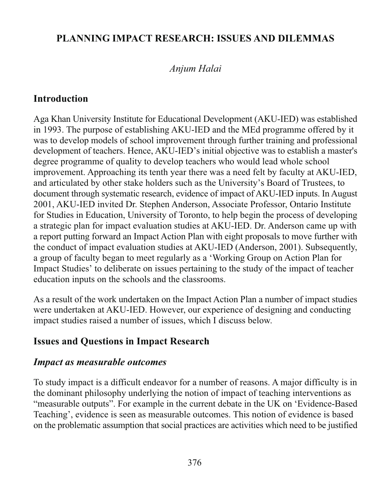#### PLANNING IMPACT RESEARCH: ISSUES AND DILEMMAS

### Anjum Halai

### **Introduction**

Aga Khan University Institute for Educational Development (AKU-IED) was established in 1993. The purpose of establishing AKU-IED and the MEd programme offered by it was to develop models of school improvement through further training and professional development of teachers. Hence, AKU-IED's initial objective was to establish a master's degree programme of quality to develop teachers who would lead whole school improvement. Approaching its tenth year there was a need felt by faculty at AKU-IED, and articulated by other stake holders such as the University's Board of Trustees, to document through systematic research, evidence of impact of AKU-IED inputs. In August 2001, AKU-IED invited Dr. Stephen Anderson, Associate Professor, Ontario Institute for Studies in Education, University of Toronto, to help begin the process of developing a strategic plan for impact evaluation studies at AKU-IED. Dr. Anderson came up with a report putting forward an Impact Action Plan with eight proposals to move further with the conduct of impact evaluation studies at AKU-IED (Anderson, 2001). Subsequently, a group of faculty began to meet regularly as a 'Working Group on Action Plan for Impact Studies' to deliberate on issues pertaining to the study of the impact of teacher education inputs on the schools and the classrooms.

As a result of the work undertaken on the Impact Action Plan a number of impact studies were undertaken at AKU-IED. However, our experience of designing and conducting impact studies raised a number of issues, which I discuss below.

## **Issues and Questions in Impact Research**

#### **Impact as measurable outcomes**

To study impact is a difficult endeavor for a number of reasons. A major difficulty is in the dominant philosophy underlying the notion of impact of teaching interventions as "measurable outputs". For example in the current debate in the UK on 'Evidence-Based Teaching', evidence is seen as measurable outcomes. This notion of evidence is based on the problematic assumption that social practices are activities which need to be justified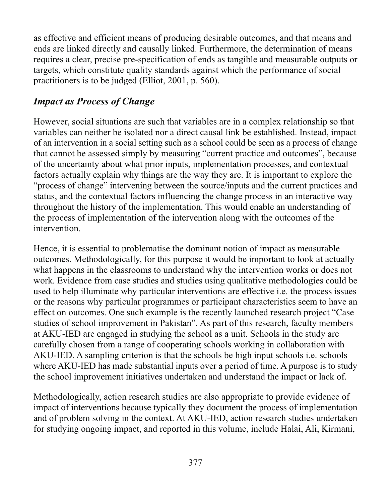as effective and efficient means of producing desirable outcomes, and that means and ends are linked directly and causally linked. Furthermore, the determination of means requires a clear, precise pre-specification of ends as tangible and measurable outputs or targets, which constitute quality standards against which the performance of social practitioners is to be judged (Elliot, 2001, p. 560).

# **Impact as Process of Change**

However, social situations are such that variables are in a complex relationship so that variables can neither be isolated nor a direct causal link be established. Instead, impact of an intervention in a social setting such as a school could be seen as a process of change that cannot be assessed simply by measuring "current practice and outcomes", because of the uncertainty about what prior inputs, implementation processes, and contextual factors actually explain why things are the way they are. It is important to explore the "process of change" intervening between the source/inputs and the current practices and status, and the contextual factors influencing the change process in an interactive way throughout the history of the implementation. This would enable an understanding of the process of implementation of the intervention along with the outcomes of the intervention

Hence, it is essential to problematise the dominant notion of impact as measurable outcomes. Methodologically, for this purpose it would be important to look at actually what happens in the classrooms to understand why the intervention works or does not work. Evidence from case studies and studies using qualitative methodologies could be used to help illuminate why particular interventions are effective *i.e.* the process issues or the reasons why particular programmes or participant characteristics seem to have an effect on outcomes. One such example is the recently launched research project "Case" studies of school improvement in Pakistan". As part of this research, faculty members at AKU-IED are engaged in studying the school as a unit. Schools in the study are carefully chosen from a range of cooperating schools working in collaboration with AKU-IED. A sampling criterion is that the schools be high input schools i.e. schools where AKU-IED has made substantial inputs over a period of time. A purpose is to study the school improvement initiatives undertaken and understand the impact or lack of.

Methodologically, action research studies are also appropriate to provide evidence of impact of interventions because typically they document the process of implementation and of problem solving in the context. At AKU-IED, action research studies undertaken for studying ongoing impact, and reported in this volume, include Halai, Ali, Kirmani,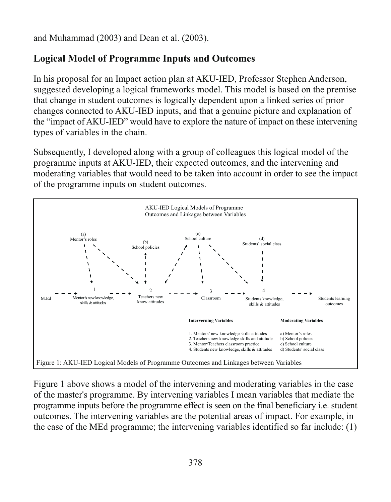and Muhammad (2003) and Dean et al. (2003).

## **Logical Model of Programme Inputs and Outcomes**

In his proposal for an Impact action plan at AKU-IED, Professor Stephen Anderson, suggested developing a logical frameworks model. This model is based on the premise that change in student outcomes is logically dependent upon a linked series of prior changes connected to AKU-IED inputs, and that a genuine picture and explanation of the "impact of AKU-IED" would have to explore the nature of impact on these intervening types of variables in the chain.

Subsequently, I developed along with a group of colleagues this logical model of the programme inputs at AKU-IED, their expected outcomes, and the intervening and moderating variables that would need to be taken into account in order to see the impact of the programme inputs on student outcomes.



Figure 1 above shows a model of the intervening and moderating variables in the case of the master's programme. By intervening variables I mean variables that mediate the programme inputs before the programme effect is seen on the final beneficiary *i.e.* student outcomes. The intervening variables are the potential areas of impact. For example, in the case of the MEd programme; the intervening variables identified so far include: (1)